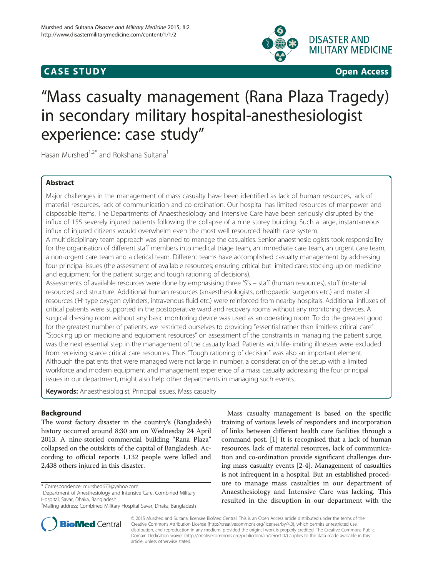



# "Mass casualty management (Rana Plaza Tragedy) in secondary military hospital-anesthesiologist experience: case study"

Hasan Murshed<sup>1,2\*</sup> and Rokshana Sultana<sup>1</sup>

# Abstract

Major challenges in the management of mass casualty have been identified as lack of human resources, lack of material resources, lack of communication and co-ordination. Our hospital has limited resources of manpower and disposable items. The Departments of Anaesthesiology and Intensive Care have been seriously disrupted by the influx of 155 severely injured patients following the collapse of a nine storey building. Such a large, instantaneous influx of injured citizens would overwhelm even the most well resourced health care system.

A multidisciplinary team approach was planned to manage the casualties. Senior anaesthesiologists took responsibility for the organisation of different staff members into medical triage team, an immediate care team, an urgent care team, a non-urgent care team and a clerical team. Different teams have accomplished casualty management by addressing four principal issues (the assessment of available resources; ensuring critical but limited care; stocking up on medicine and equipment for the patient surge; and tough rationing of decisions).

Assessments of available resources were done by emphasising three 'S's – staff (human resources), stuff (material resources) and structure. Additional human resources (anaesthesiologists, orthopaedic surgeons etc.) and material resources ('H' type oxygen cylinders, intravenous fluid etc.) were reinforced from nearby hospitals. Additional influxes of critical patients were supported in the postoperative ward and recovery rooms without any monitoring devices. A surgical dressing room without any basic monitoring device was used as an operating room. To do the greatest good for the greatest number of patients, we restricted ourselves to providing "essential rather than limitless critical care". "Stocking up on medicine and equipment resources" on assessment of the constraints in managing the patient surge, was the next essential step in the management of the casualty load. Patients with life-limiting illnesses were excluded from receiving scarce critical care resources. Thus "Tough rationing of decision" was also an important element. Although the patients that were managed were not large in number, a consideration of the setup with a limited workforce and modern equipment and management experience of a mass casualty addressing the four principal issues in our department, might also help other departments in managing such events.

Keywords: Anaesthesiologist, Principal issues, Mass casualty

# Background

The worst factory disaster in the country's (Bangladesh) history occurred around 8:30 am on Wednesday 24 April 2013. A nine-storied commercial building "Rana Plaza" collapsed on the outskirts of the capital of Bangladesh. According to official reports 1,132 people were killed and 2,438 others injured in this disaster.

<sup>&</sup>lt;sup>2</sup>Mailing address; Combined Military Hospital Savar, Dhaka, Bangladesh



**BioMed Central** 

© 2015 Murshed and Sultana; licensee BioMed Central. This is an Open Access article distributed under the terms of the Creative Commons Attribution License (<http://creativecommons.org/licenses/by/4.0>), which permits unrestricted use, distribution, and reproduction in any medium, provided the original work is properly credited. The Creative Commons Public Domain Dedication waiver [\(http://creativecommons.org/publicdomain/zero/1.0/\)](http://creativecommons.org/publicdomain/zero/1.0/) applies to the data made available in this article, unless otherwise stated.

<sup>\*</sup> Correspondence: [murshed673@yahoo.com](mailto:murshed673@yahoo.com) <sup>1</sup>

<sup>&</sup>lt;sup>1</sup>Department of Anesthesiology and Intensive Care, Combined Military Hospital, Savar, Dhaka, Bangladesh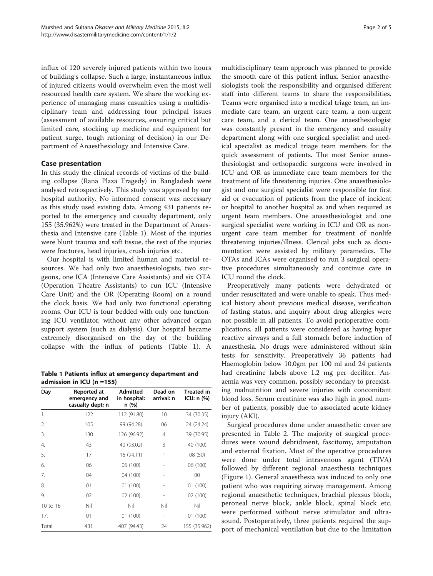influx of 120 severely injured patients within two hours of building's collapse. Such a large, instantaneous influx of injured citizens would overwhelm even the most well resourced health care system. We share the working experience of managing mass casualties using a multidisciplinary team and addressing four principal issues (assessment of available resources, ensuring critical but limited care, stocking up medicine and equipment for patient surge, tough rationing of decision) in our Department of Anaesthesiology and Intensive Care.

## Case presentation

In this study the clinical records of victims of the building collapse (Rana Plaza Tragedy) in Bangladesh were analysed retrospectively. This study was approved by our hospital authority. No informed consent was necessary as this study used existing data. Among 431 patients reported to the emergency and casualty department, only 155 (35.962%) were treated in the Department of Anaesthesia and Intensive care (Table 1). Most of the injuries were blunt trauma and soft tissue, the rest of the injuries were fractures, head injuries, crush injuries etc.

Our hospital is with limited human and material resources. We had only two anaesthesiologists, two surgeons, one ICA (Intensive Care Assistants) and six OTA (Operation Theatre Assistants) to run ICU (Intensive Care Unit) and the OR (Operating Room) on a round the clock basis. We had only two functional operating rooms. Our ICU is four bedded with only one functioning ICU ventilator, without any other advanced organ support system (such as dialysis). Our hospital became extremely disorganised on the day of the building collapse with the influx of patients (Table 1). A

Table 1 Patients influx at emergency department and admission in ICU (n =155)

| Day      | Reported at<br>emergency and<br>casualty dept; n | Admitted<br>in hospital:<br>n (%) | Dead on<br>arrival: n | <b>Treated in</b><br>$ICU: n$ $(\%)$ |
|----------|--------------------------------------------------|-----------------------------------|-----------------------|--------------------------------------|
| 1.       | 122                                              | 112 (91.80)                       | 10                    | 34 (30.35)                           |
| 2.       | 105                                              | 99 (94.28)                        | 06                    | 24 (24.24)                           |
| 3.       | 130                                              | 126 (96.92)                       | 4                     | 39 (30.95)                           |
| 4.       | 43                                               | 40 (93.02)                        | 3                     | 40 (100)                             |
| 5.       | 17                                               | 16 (94.11)                        | 1                     | 08 (50)                              |
| 6.       | 06                                               | 06 (100)                          |                       | 06 (100)                             |
| 7.       | 04                                               | 04 (100)                          |                       | 00                                   |
| 8.       | 01                                               | 01 (100)                          |                       | 01 (100)                             |
| 9.       | 02                                               | 02 (100)                          |                       | 02 (100)                             |
| 10 to 16 | Nil                                              | Nil                               | Nil                   | Nil                                  |
| 17.      | 01                                               | 01 (100)                          | $\overline{a}$        | 01 (100)                             |
| Total    | 431                                              | 407 (94.43)                       | 24                    | 155 (35.962)                         |

multidisciplinary team approach was planned to provide the smooth care of this patient influx. Senior anaesthesiologists took the responsibility and organised different staff into different teams to share the responsibilities. Teams were organised into a medical triage team, an immediate care team, an urgent care team, a non-urgent care team, and a clerical team. One anaesthesiologist was constantly present in the emergency and casualty department along with one surgical specialist and medical specialist as medical triage team members for the quick assessment of patients. The most Senior anaesthesiologist and orthopaedic surgeons were involved in ICU and OR as immediate care team members for the treatment of life threatening injuries. One anaesthesiologist and one surgical specialist were responsible for first aid or evacuation of patients from the place of incident or hospital to another hospital as and when required as urgent team members. One anaesthesiologist and one surgical specialist were working in ICU and OR as nonurgent care team member for treatment of nonlife threatening injuries/illness. Clerical jobs such as documentation were assisted by military paramedics. The OTAs and ICAs were organised to run 3 surgical operative procedures simultaneously and continue care in ICU round the clock.

Preoperatively many patients were dehydrated or under resuscitated and were unable to speak. Thus medical history about previous medical disease, verification of fasting status, and inquiry about drug allergies were not possible in all patients. To avoid perioperative complications, all patients were considered as having hyper reactive airways and a full stomach before induction of anaesthesia. No drugs were administered without skin tests for sensitivity. Preoperatively 36 patients had Haemoglobin below 10.0gm per 100 ml and 24 patients had creatinine labels above 1.2 mg per deciliter. Anaemia was very common, possibly secondary to preexisting malnutrition and severe injuries with concomitant blood loss. Serum creatinine was also high in good number of patients, possibly due to associated acute kidney injury (AKI).

Surgical procedures done under anaesthetic cover are presented in Table [2.](#page-2-0) The majority of surgical procedures were wound debridment, fascitomy, amputation and external fixation. Most of the operative procedures were done under total intravenous agent (TIVA) followed by different regional anaesthesia techniques (Figure [1](#page-2-0)). General anaesthesia was induced to only one patient who was requiring airway management. Among regional anaesthetic techniques, brachial plexsus block, peroneal nerve block, ankle block, spinal block etc. were performed without nerve stimulator and ultrasound. Postoperatively, three patients required the support of mechanical ventilation but due to the limitation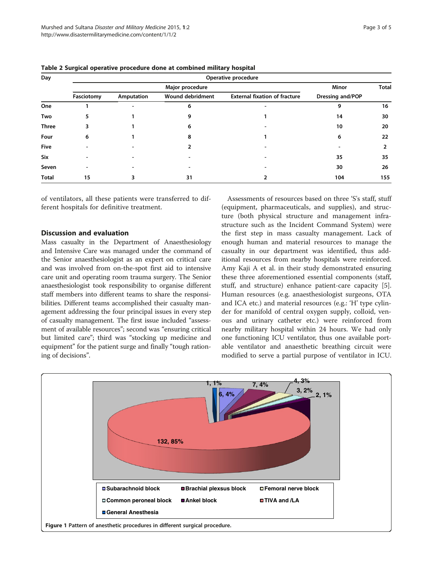| Day          | Operative procedure |            |                  |                                      |                  |              |  |  |
|--------------|---------------------|------------|------------------|--------------------------------------|------------------|--------------|--|--|
|              | Major procedure     |            |                  |                                      | Minor            | <b>Total</b> |  |  |
|              | Fasciotomy          | Amputation | Wound debridment | <b>External fixation of fracture</b> | Dressing and/POP |              |  |  |
| One          |                     |            | 6                |                                      | 9                | 16           |  |  |
| Two          | 5                   |            | 9                |                                      | 14               | 30           |  |  |
| <b>Three</b> |                     |            | 6                |                                      | 10               | 20           |  |  |
| Four         | 6                   |            | 8                |                                      | 6                | 22           |  |  |
| <b>Five</b>  |                     |            |                  |                                      |                  | 2            |  |  |
| Six          |                     |            |                  |                                      | 35               | 35           |  |  |
| Seven        |                     |            |                  |                                      | 30               | 26           |  |  |
| <b>Total</b> | 15                  |            | 31               |                                      | 104              | 155          |  |  |

<span id="page-2-0"></span>Table 2 Surgical operative procedure done at combined military hospital

of ventilators, all these patients were transferred to different hospitals for definitive treatment.

## Discussion and evaluation

Mass casualty in the Department of Anaesthesiology and Intensive Care was managed under the command of the Senior anaesthesiologist as an expert on critical care and was involved from on-the-spot first aid to intensive care unit and operating room trauma surgery. The Senior anaesthesiologist took responsibility to organise different staff members into different teams to share the responsibilities. Different teams accomplished their casualty management addressing the four principal issues in every step of casualty management. The first issue included "assessment of available resources"; second was "ensuring critical but limited care"; third was "stocking up medicine and equipment" for the patient surge and finally "tough rationing of decisions".

Assessments of resources based on three 'S's staff, stuff (equipment, pharmaceuticals, and supplies), and structure (both physical structure and management infrastructure such as the Incident Command System) were the first step in mass casualty management. Lack of enough human and material resources to manage the casualty in our department was identified, thus additional resources from nearby hospitals were reinforced. Amy Kaji A et al. in their study demonstrated ensuring these three aforementioned essential components (staff, stuff, and structure) enhance patient-care capacity [\[5](#page-4-0)]. Human resources (e.g. anaesthesiologist surgeons, OTA and ICA etc.) and material resources (e.g.: 'H' type cylinder for manifold of central oxygen supply, colloid, venous and urinary catheter etc.) were reinforced from nearby military hospital within 24 hours. We had only one functioning ICU ventilator, thus one available portable ventilator and anaesthetic breathing circuit were modified to serve a partial purpose of ventilator in ICU.

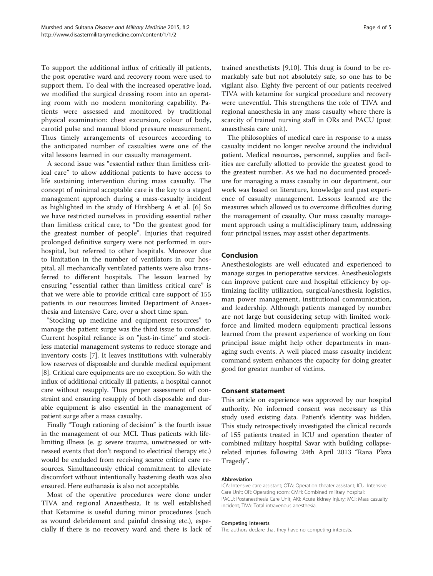To support the additional influx of critically ill patients, the post operative ward and recovery room were used to support them. To deal with the increased operative load, we modified the surgical dressing room into an operating room with no modern monitoring capability. Patients were assessed and monitored by traditional physical examination: chest excursion, colour of body, carotid pulse and manual blood pressure measurement. Thus timely arrangements of resources according to the anticipated number of casualties were one of the vital lessons learned in our casualty management.

A second issue was "essential rather than limitless critical care" to allow additional patients to have access to life sustaining intervention during mass casualty. The concept of minimal acceptable care is the key to a staged management approach during a mass-casualty incident as highlighted in the study of Hirshberg A et al. [\[6](#page-4-0)] So we have restricted ourselves in providing essential rather than limitless critical care, to "Do the greatest good for the greatest number of people". Injuries that required prolonged definitive surgery were not performed in ourhospital, but referred to other hospitals. Moreover due to limitation in the number of ventilators in our hospital, all mechanically ventilated patients were also transferred to different hospitals. The lesson learned by ensuring "essential rather than limitless critical care" is that we were able to provide critical care support of 155 patients in our resources limited Department of Anaesthesia and Intensive Care, over a short time span.

"Stocking up medicine and equipment resources" to manage the patient surge was the third issue to consider. Current hospital reliance is on "just-in-time" and stockless material management systems to reduce storage and inventory costs [[7\]](#page-4-0). It leaves institutions with vulnerably low reserves of disposable and durable medical equipment [[8\]](#page-4-0). Critical care equipments are no exception. So with the influx of additional critically ill patients, a hospital cannot care without resupply. Thus proper assessment of constraint and ensuring resupply of both disposable and durable equipment is also essential in the management of patient surge after a mass casualty.

Finally "Tough rationing of decision" is the fourth issue in the management of our MCI. Thus patients with lifelimiting illness (e. g: severe trauma, unwitnessed or witnessed events that don't respond to electrical therapy etc.) would be excluded from receiving scarce critical care resources. Simultaneously ethical commitment to alleviate discomfort without intentionally hastening death was also ensured. Here euthanasia is also not acceptable.

Most of the operative procedures were done under TIVA and regional Anaesthesia. It is well established that Ketamine is useful during minor procedures (such as wound debridement and painful dressing etc.), especially if there is no recovery ward and there is lack of

trained anesthetists [\[9,10\]](#page-4-0). This drug is found to be remarkably safe but not absolutely safe, so one has to be vigilant also. Eighty five percent of our patients received TIVA with ketamine for surgical procedure and recovery were uneventful. This strengthens the role of TIVA and regional anaesthesia in any mass casualty where there is scarcity of trained nursing staff in ORs and PACU (post anaesthesia care unit).

The philosophies of medical care in response to a mass casualty incident no longer revolve around the individual patient. Medical resources, personnel, supplies and facilities are carefully allotted to provide the greatest good to the greatest number. As we had no documented procedure for managing a mass casualty in our department, our work was based on literature, knowledge and past experience of casualty management. Lessons learned are the measures which allowed us to overcome difficulties during the management of casualty. Our mass casualty management approach using a multidisciplinary team, addressing four principal issues, may assist other departments.

## Conclusion

Anesthesiologists are well educated and experienced to manage surges in perioperative services. Anesthesiologists can improve patient care and hospital efficiency by optimizing facility utilization, surgical/anesthesia logistics, man power management, institutional communication, and leadership. Although patients managed by number are not large but considering setup with limited workforce and limited modern equipment; practical lessons learned from the present experience of working on four principal issue might help other departments in managing such events. A well placed mass casualty incident command system enhances the capacity for doing greater good for greater number of victims.

## Consent statement

This article on experience was approved by our hospital authority. No informed consent was necessary as this study used existing data. Patient's identity was hidden. This study retrospectively investigated the clinical records of 155 patients treated in ICU and operation theater of combined military hospital Savar with building collapserelated injuries following 24th April 2013 "Rana Plaza Tragedy".

#### Abbreviation

ICA: Intensive care assistant; OTA: Operation theater assistant; ICU: Intensive Care Unit; OR: Operating room; CMH: Combined military hospital; PACU: Postanesthesia Care Unit; AKI: Acute kidney injury; MCI: Mass casualty incident; TIVA: Total intravenous anesthesia.

#### Competing interests

The authors declare that they have no competing interests.